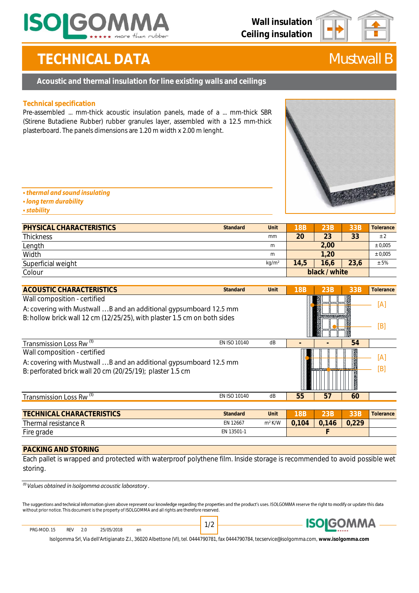

# **TECHNICAL DATA** *Mustwall B*

### **Acoustic and thermal insulation for line existing walls and ceilings**

### **Technical specification**

Pre-assembled ... mm-thick acoustic insulation panels, made of a ... mm-thick SBR (Stirene Butadiene Rubber) rubber granules layer, assembled with a 12.5 mm-thick plasterboard. The panels dimensions are 1.20 m width x 2.00 m lenght.



### • thermal and sound insulating

- · long term durability
- **stability**

| PHYSICAL CHARACTERISTICS | Standard<br>Unit  | 18B           | 23B  | 33B  | Tolerance |
|--------------------------|-------------------|---------------|------|------|-----------|
| <b>Thickness</b>         | mm                | 20            | 23   | 33   | $\pm$ 2   |
| Length                   | m                 | 2.00          |      |      | ± 0,005   |
| Width                    | m                 | 1.20          |      |      | ± 0.005   |
| Superficial weight       | kg/m <sup>2</sup> | 14,5          | 16,6 | 23,6 | ± 5%      |
| Colour                   |                   | black / white |      |      |           |

| ACOUSTIC CHARACTERISTICS                                                                                                                                                      | Standard     | Unit               | 18B        | 23B   | 33B                | Tolerance  |
|-------------------------------------------------------------------------------------------------------------------------------------------------------------------------------|--------------|--------------------|------------|-------|--------------------|------------|
| Wall composition - certified<br>A: covering with Mustwall B and an additional gypsumboard 12.5 mm<br>B: hollow brick wall 12 cm (12/25/25), with plaster 1.5 cm on both sides |              |                    |            |       |                    | ſА`<br>[B] |
| Transmission Loss Rw <sup>(1)</sup>                                                                                                                                           | EN ISO 10140 | dB                 |            |       | 54                 |            |
| Wall composition - certified<br>A: covering with Mustwall B and an additional gypsumboard 12.5 mm<br>B: perforated brick wall 20 cm (20/25/19); plaster 1.5 cm                |              |                    |            |       | <b>The Company</b> | ſА<br>[B]  |
| Transmission Loss Rw <sup>(1)</sup>                                                                                                                                           | EN ISO 10140 | dB                 | 55         | 57    | 60                 |            |
|                                                                                                                                                                               |              |                    |            |       |                    |            |
| TECHNICAL CHARACTERISTICS                                                                                                                                                     | Standard     | Unit               | <b>18B</b> | 23B   | 33B                | Tolerance  |
| Thermal resistance R                                                                                                                                                          | EN 12667     | m <sup>2</sup> K/W | 0,104      | 0,146 | 0,229              |            |
| Fire grade                                                                                                                                                                    | EN 13501-1   |                    |            |       |                    |            |

### **PACKING AND STORING**

Each pallet is wrapped and protected with waterproof polythene film. Inside storage is recommended to avoid possible wet storing.

 $\frac{1}{10}$  Values obtained in Isolgomma acoustic laboratory.

The suggestions and technical information given above represent our knowledge regarding the properties and the product's uses. ISOLGOMMA reserve the right to modify or update this data without prior notice. This document is the property of ISOLGOMMA and all rights are therefore reserved.

REV 2.0 25/05/2018 en PRG-MOD. 15



Isolgomma Srl, Via dell'Artigianato Z.I., 36020 Albettone (VI), tel. 0444790781, fax 0444790784, tecservice@isolgomma.com, **www.isolgomma.com**

1/2